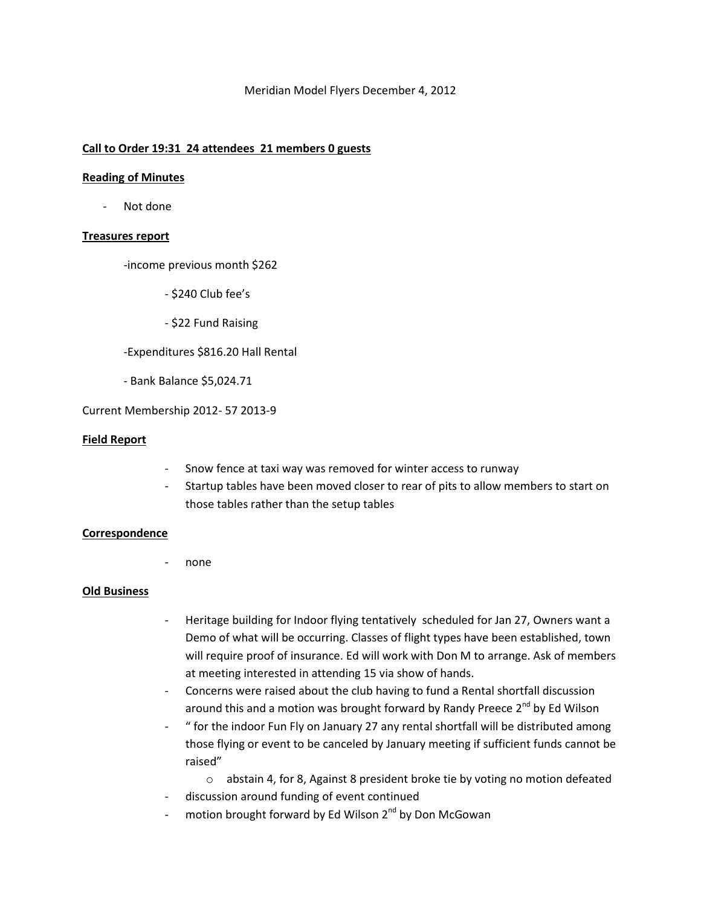# Meridian Model Flyers December 4, 2012

# **Call to Order 19:31 24 attendees 21 members 0 guests**

## **Reading of Minutes**

Not done

# **Treasures report**

-income previous month \$262

- \$240 Club fee's
- \$22 Fund Raising

# -Expenditures \$816.20 Hall Rental

- Bank Balance \$5,024.71

# Current Membership 2012- 57 2013-9

#### **Field Report**

- Snow fence at taxi way was removed for winter access to runway
- Startup tables have been moved closer to rear of pits to allow members to start on those tables rather than the setup tables

# **Correspondence**

none

# **Old Business**

- Heritage building for Indoor flying tentatively scheduled for Jan 27, Owners want a Demo of what will be occurring. Classes of flight types have been established, town will require proof of insurance. Ed will work with Don M to arrange. Ask of members at meeting interested in attending 15 via show of hands.
- Concerns were raised about the club having to fund a Rental shortfall discussion around this and a motion was brought forward by Randy Preece  $2^{nd}$  by Ed Wilson
- " for the indoor Fun Fly on January 27 any rental shortfall will be distributed among those flying or event to be canceled by January meeting if sufficient funds cannot be raised"
	- o abstain 4, for 8, Against 8 president broke tie by voting no motion defeated
- discussion around funding of event continued
- motion brought forward by Ed Wilson  $2^{nd}$  by Don McGowan